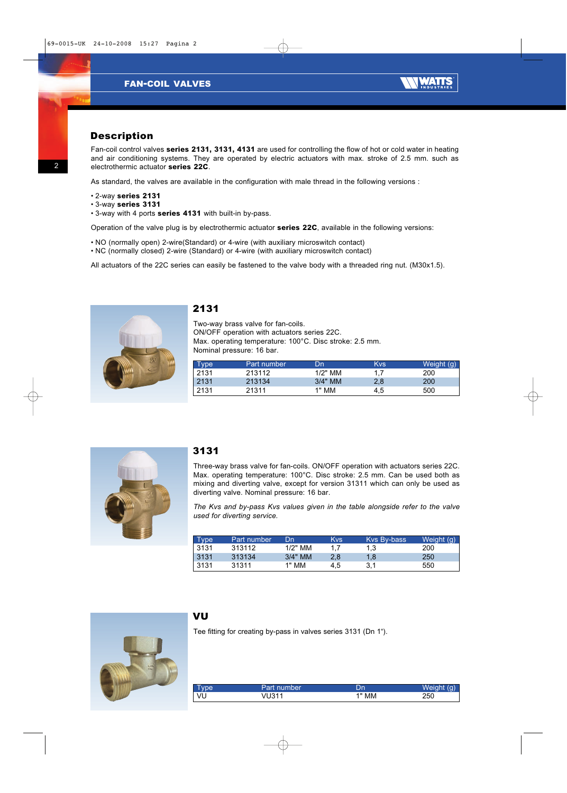

### *Description*

*Fan-coil control valves* **series 2131, 3131, 4131** *are used for controlling the flow of hot or cold water in heating and air conditioning systems. They are operated by electric actuators with max. stroke of 2.5 mm. such as electrothermic actuator* **series 22C***.*

*As standard, the valves are available in the configuration with male thread in the following versions :*

- *2-way* **series 2131**
- *3-way* **series 3131**
- *3-way with 4 ports* **series 4131** *with built-in by-pass.*

*Operation of the valve plug is by electrothermic actuator* **series 22C***, available in the following versions:*

- *NO (normally open) 2-wire(Standard) or 4-wire (with auxiliary microswitch contact)*
- *NC (normally closed) 2-wire (Standard) or 4-wire (with auxiliary microswitch contact)*

*All actuators of the 22C series can easily be fastened to the valve body with a threaded ring nut. (M30x1.5).*



#### *2131*

*Two-way brass valve for fan-coils. ON/OFF operation with actuators series 22C. Max. operating temperature: 100°C. Disc stroke: 2.5 mm. Nominal pressure: 16 bar.*

| <b>Type</b> | Part number | Dn        | <b>Kvs</b> | Weight (g) |
|-------------|-------------|-----------|------------|------------|
| 2131        | 213112      | $1/2"$ MM | 17         | 200        |
| 2131        | 213134      | $3/4"$ MM | 2.8        | 200        |
| 2131        | 21311       | 1" MM     | 4.5        | 500        |



#### *3131*

*Three-way brass valve for fan-coils. ON/OFF operation with actuators series 22C. Max. operating temperature: 100°C. Disc stroke: 2.5 mm. Can be used both as mixing and diverting valve, except for version 31311 which can only be used as diverting valve. Nominal pressure: 16 bar.*

*The Kvs and by-pass Kvs values given in the table alongside refer to the valve used for diverting service.*

| <b>Type</b> | Part number | Dn        | <b>Kvs</b> | Kys By-bass | Weight (g) |
|-------------|-------------|-----------|------------|-------------|------------|
| 3131        | 313112      | $1/2"$ MM | 17         | 1.3         | 200        |
| 3131        | 313134      | $3/4"$ MM | 2.8        | 1.8         | 250        |
| 3131        | 31311       | 1" MM     | 4.5        | 3.1         | 550        |



### *VU*

*Tee fitting for creating by-pass in valves series 3131 (Dn 1").*

| -<br>l yper | Part number | Dn    | Weight (g) |
|-------------|-------------|-------|------------|
| VU          | VU311       | 1" MM | 250        |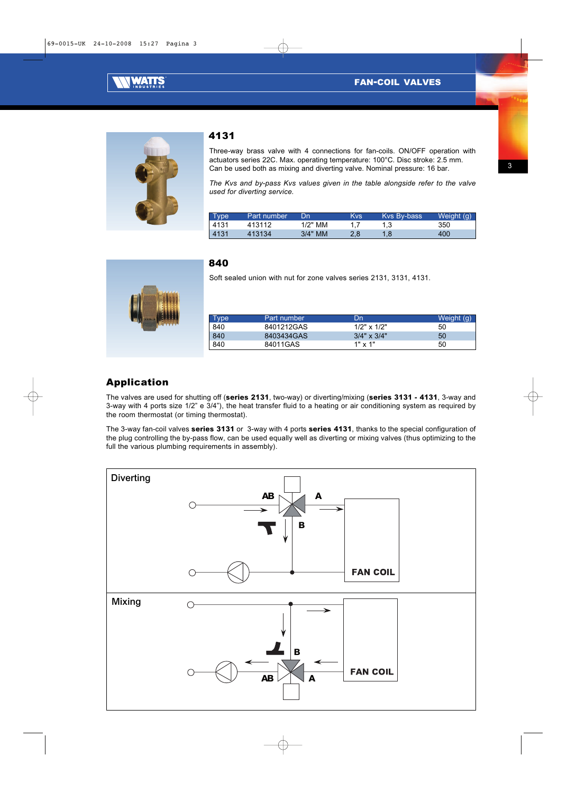



#### *4131*

*Three-way brass valve with 4 connections for fan-coils. ON/OFF operation with actuators series 22C. Max. operating temperature: 100°C. Disc stroke: 2.5 mm. Can be used both as mixing and diverting valve. Nominal pressure: 16 bar.*

*The Kvs and by-pass Kvs values given in the table alongside refer to the valve used for diverting service.*

| Type | Part number | Dn        | Kvs | Kys By-bass | Weight (g) |
|------|-------------|-----------|-----|-------------|------------|
| 4131 | 413112      | 1/2" MM   |     |             | 350        |
| 4131 | 413134      | $3/4"$ MM |     |             | 400        |



# *840*

*Soft sealed union with nut for zone valves series 2131, 3131, 4131.*

| Type | Part number | Dn                 | Weight (g) |
|------|-------------|--------------------|------------|
| 840  | 8401212GAS  | $1/2" \times 1/2"$ | 50         |
| 840  | 8403434GAS  | $3/4" \times 3/4"$ | 50         |
| 840  | 84011GAS    | $1" \times 1"$     | 50         |

## *Application*

*The valves are used for shutting off (***series 2131***, two-way) or diverting/mixing (***series 3131 - 4131***, 3-way and 3-way with 4 ports size 1/2" e 3/4"), the heat transfer fluid to a heating or air conditioning system as required by the room thermostat (or timing thermostat).*

*The 3-way fan-coil valves* **series 3131** *or 3-way with 4 ports* **series 4131***, thanks to the special configuration of the plug controlling the by-pass flow, can be used equally well as diverting or mixing valves (thus optimizing to the full the various plumbing requirements in assembly).*

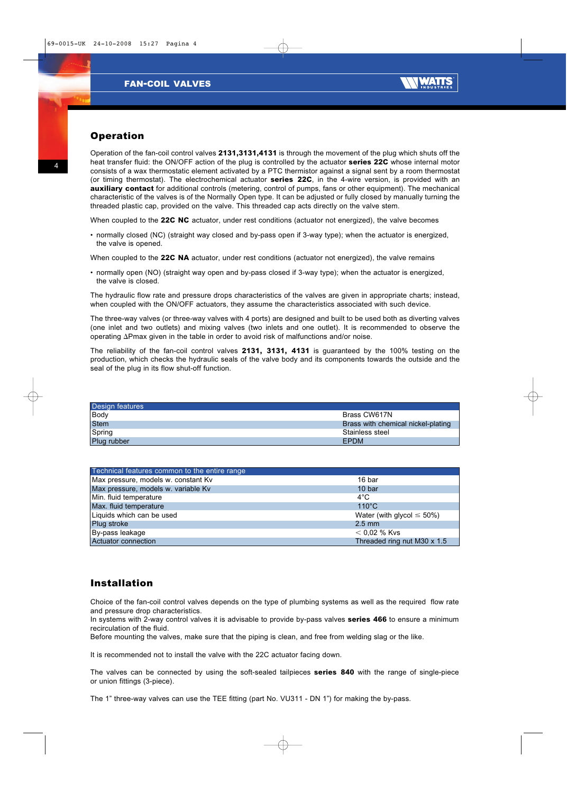

## *Operation*

*Operation of the fan-coil control valves* **2131,3131,4131** *is through the movement of the plug which shuts off the heat transfer fluid: the ON/OFF action of the plug is controlled by the actuator* **series 22C** *whose internal motor consists of a wax thermostatic element activated by a PTC thermistor against a signal sent by a room thermostat (or timing thermostat). The electrochemical actuator* **series 22C***, in the 4-wire version, is provided with an* **auxiliary contact** *for additional controls (metering, control of pumps, fans or other equipment). The mechanical characteristic of the valves is of the Normally Open type. It can be adjusted or fully closed by manually turning the threaded plastic cap, provided on the valve. This threaded cap acts directly on the valve stem.*

*When coupled to the* **22C NC** *actuator, under rest conditions (actuator not energized), the valve becomes* 

*• normally closed (NC) (straight way closed and by-pass open if 3-way type); when the actuator is energized, the valve is opened.* 

*When coupled to the* **22C NA** *actuator, under rest conditions (actuator not energized), the valve remains* 

*• normally open (NO) (straight way open and by-pass closed if 3-way type); when the actuator is energized, the valve is closed.* 

*The hydraulic flow rate and pressure drops characteristics of the valves are given in appropriate charts; instead, when coupled with the ON/OFF actuators, they assume the characteristics associated with such device.*

*The three-way valves (or three-way valves with 4 ports) are designed and built to be used both as diverting valves (one inlet and two outlets) and mixing valves (two inlets and one outlet). It is recommended to observe the operating* -*Pmax given in the table in order to avoid risk of malfunctions and/or noise.*

*The reliability of the fan-coil control valves* **2131, 3131, 4131** *is guaranteed by the 100% testing on the production, which checks the hydraulic seals of the valve body and its components towards the outside and the seal of the plug in its flow shut-off function.*

| Design features |                                    |
|-----------------|------------------------------------|
| Body            | Brass CW617N                       |
| Stem            | Brass with chemical nickel-plating |
| Spring          | Stainless steel                    |
| Plug rubber     | <b>EPDM</b>                        |

| Technical features common to the entire range |                                  |
|-----------------------------------------------|----------------------------------|
| Max pressure, models w. constant Kv           | 16 bar                           |
| Max pressure, models w. variable Kv           | 10 bar                           |
| Min. fluid temperature                        | $4^{\circ}$ C                    |
| Max. fluid temperature                        | $110^{\circ}$ C                  |
| Liquids which can be used                     | Water (with glycol $\leq 50\%$ ) |
| Plug stroke                                   | $2.5$ mm                         |
| By-pass leakage                               | $< 0.02$ % Kvs                   |
| Actuator connection                           | Threaded ring nut M30 x 1.5      |

### *Installation*

*Choice of the fan-coil control valves depends on the type of plumbing systems as well as the required flow rate and pressure drop characteristics.*

*In systems with 2-way control valves it is advisable to provide by-pass valves* **series 466** *to ensure a minimum recirculation of the fluid.*

*Before mounting the valves, make sure that the piping is clean, and free from welding slag or the like.*

*It is recommended not to install the valve with the 22C actuator facing down.*

*The valves can be connected by using the soft-sealed tailpieces* **series 840** *with the range of single-piece or union fittings (3-piece).*

*The 1" three-way valves can use the TEE fitting (part No. VU311 - DN 1") for making the by-pass.*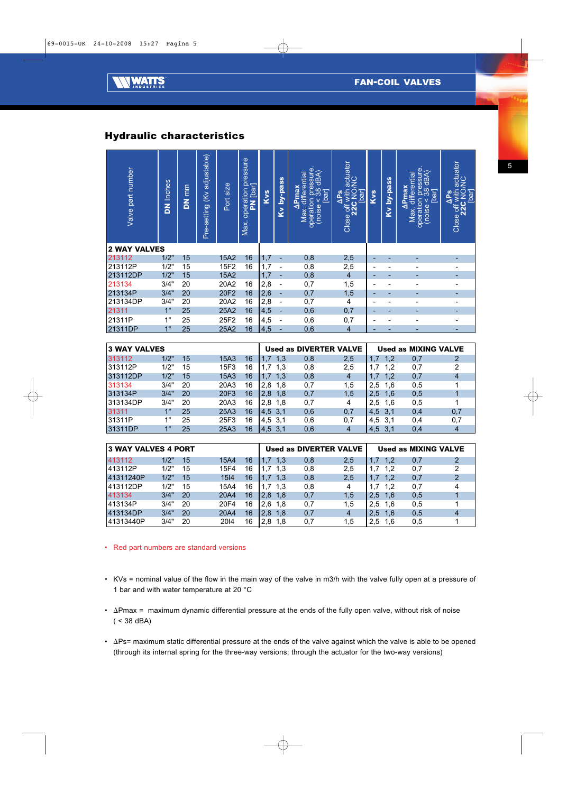

# *Hydraulic characteristics*

| Valve part number                      | <b>DN Inches</b> | DN <sub>mm</sub> | Pre-setting (Kv adjustable) | Port size | Max. operation pressure<br>PN bar | Kvs | Kv by-pass                   | operation pressure.<br>(noise < 38 dBA)<br>[bar]<br>Max. differential<br>$\Delta$ Pmax | Close off with actuator<br>22C NO/NC<br>[bar]<br>$\Delta PS$ | Kvs                      | Kv by-pass     | operation pressure.<br>(noise < 38 dBA)<br>Max. differential<br>$\Delta$ Pmax<br><b>bar</b> | Close off with actuator<br>22C NO/NC<br>$\Delta PS$<br>[bar] |
|----------------------------------------|------------------|------------------|-----------------------------|-----------|-----------------------------------|-----|------------------------------|----------------------------------------------------------------------------------------|--------------------------------------------------------------|--------------------------|----------------|---------------------------------------------------------------------------------------------|--------------------------------------------------------------|
| <b>2 WAY VALVES</b>                    |                  |                  |                             |           |                                   |     |                              |                                                                                        |                                                              |                          |                |                                                                                             |                                                              |
| 213112                                 | 1/2"             | 15               |                             | 15A2      | 16                                | 1,7 | ٠                            | 0,8                                                                                    | 2,5                                                          |                          |                |                                                                                             |                                                              |
| 213112P                                | 1/2"             | 15               |                             | 15F2      | 16                                | 1,7 | $\qquad \qquad \blacksquare$ | 0,8                                                                                    | 2,5                                                          | $\overline{a}$           | $\blacksquare$ | $\overline{\phantom{0}}$                                                                    | $\overline{\phantom{0}}$                                     |
| 213112DP                               | 1/2"             | 15               |                             | 15A2      |                                   | 1,7 | ٠                            | 0,8                                                                                    | $\overline{4}$                                               | ÷                        |                |                                                                                             |                                                              |
| 213134                                 | 3/4"             | 20               |                             | 20A2      | 16                                | 2,8 | $\qquad \qquad \blacksquare$ | 0,7                                                                                    | 1,5                                                          | $\overline{a}$           | $\overline{a}$ | $\overline{a}$                                                                              | $\overline{a}$                                               |
| 213134P                                | 3/4"             | 20               |                             | 20F2      | 16                                | 2,6 | ÷                            | 0,7                                                                                    | 1,5                                                          |                          |                |                                                                                             |                                                              |
| 213134DP                               | 3/4"             | 20               |                             | 20A2      | 16                                | 2,8 | $\qquad \qquad \blacksquare$ | 0,7                                                                                    | 4                                                            | $\overline{\phantom{a}}$ | $\blacksquare$ | $\overline{\phantom{0}}$                                                                    | $\overline{\phantom{a}}$                                     |
| 21311                                  | 1"               | 25               |                             | 25A2      | 16                                | 4,5 | L,                           | 0,6                                                                                    | 0,7                                                          |                          |                |                                                                                             |                                                              |
| 21311P                                 | 1"               | 25               |                             | 25F2      | 16                                | 4,5 | $\overline{a}$               | 0,6                                                                                    | 0,7                                                          | L,                       | $\overline{a}$ | $\overline{a}$                                                                              | $\blacksquare$                                               |
| 21311DP                                | 1"               | 25               |                             | 25A2      | 16                                | 4,5 | ÷                            | 0.6                                                                                    | $\overline{4}$                                               | ÷,                       | $\overline{a}$ |                                                                                             | $\overline{a}$                                               |
| <b>3 WAY VALVES</b>                    |                  |                  |                             |           |                                   |     |                              | <b>Used as DIVERTER VALVE</b>                                                          |                                                              |                          |                | <b>Used as MIXING VALVE</b>                                                                 |                                                              |
| 313112                                 | 1/2"             | 15               |                             | 15A3      | 16                                | 1,7 | 1,3                          | 0,8                                                                                    | 2,5                                                          | 1,7                      | 1,2            | 0,7                                                                                         | $\overline{2}$                                               |
| 313112P                                | 1/2"             | 15               |                             | 15F3      | 16                                | 1,7 | 1,3                          | 0,8                                                                                    | 2,5                                                          | 1,7                      | 1,2            | 0,7                                                                                         | 2                                                            |
| 313112DP                               | 1/2"             | 15               |                             | 15A3      | 16                                | 1,7 | 1,3                          | 0,8                                                                                    | 4                                                            | 1,7                      | 1,2            | 0,7                                                                                         | $\overline{4}$                                               |
| 313134                                 | 3/4"             | 20               |                             | 20A3      | 16                                | 2,8 | 1,8                          | 0,7                                                                                    | 1,5                                                          | 2,5                      | 1,6            | 0,5                                                                                         | $\mathbf{1}$                                                 |
| 313134P                                | 3/4"             | 20               |                             | 20F3      | 16                                | 2,8 | 1.8                          | 0,7                                                                                    | 1.5                                                          | 2,5                      | 1.6            | 0,5                                                                                         | $\overline{1}$                                               |
| 313134DP                               | 3/4"             | 20               |                             | 20A3      | 16                                | 2,8 | 1,8                          | 0,7                                                                                    | 4                                                            | 2,5                      | 1,6            | 0,5                                                                                         | 1                                                            |
| 31311                                  | 1"               | 25               |                             | 25A3      | 16                                | 4,5 | 3,1                          | 0,6                                                                                    | 0,7                                                          | 4,5                      | 3,1            | 0,4                                                                                         | 0,7                                                          |
| 31311P                                 | 1"               | 25               |                             | 25F3      | 16                                | 4,5 | 3,1                          | 0,6                                                                                    | 0,7                                                          | 4,5                      | 3,1            | 0,4                                                                                         | 0,7                                                          |
| 31311DP                                | 1"               | 25               |                             | 25A3      | 16                                | 4,5 | 3,1                          | 0,6                                                                                    | $\overline{4}$                                               | 4,5                      | 3,1            | 0,4                                                                                         | $\overline{4}$                                               |
|                                        |                  |                  |                             |           |                                   |     |                              |                                                                                        |                                                              |                          |                |                                                                                             |                                                              |
| <b>3 WAY VALVES 4 PORT</b>             |                  |                  |                             |           |                                   |     |                              | <b>Used as DIVERTER VALVE</b>                                                          |                                                              |                          |                | <b>Used as MIXING VALVE</b>                                                                 |                                                              |
| 413112                                 | 1/2"             | 15               |                             | 15A4      | 16                                | 1,7 | 1,3                          | 0,8                                                                                    | 2,5                                                          | 1.7                      | 1,2            | 0,7                                                                                         | $\overline{2}$                                               |
| 413112P                                | 1/2"             | 15               |                             | 15F4      | 16                                | 1,7 | 1,3                          | 0,8                                                                                    | 2,5                                                          | 1,7                      | 1,2            | 0,7                                                                                         | $\overline{2}$                                               |
| 41311240P                              | 1/2"             | 15               |                             | 1514      | 16                                | 1,7 | 1,3                          | 0,8                                                                                    | 2,5                                                          | 1,7                      | 1,2            | 0,7                                                                                         | $\overline{2}$                                               |
| 413112DP                               | 1/2"             | 15               |                             | 15A4      | 16                                | 1,7 | 1,3                          | 0,8                                                                                    | 4                                                            | 1,7                      | 1,2            | 0,7                                                                                         | 4                                                            |
| 413134                                 | 3/4"             | 20               |                             | 20A4      | 16                                | 2,8 | 1,8                          | 0,7                                                                                    | 1,5                                                          | 2,5                      | 1,6            | 0,5                                                                                         | $\mathbf 1$                                                  |
| 413134P                                | 3/4"             | 20               |                             | 20F4      | 16                                | 2,6 | 1,8                          | 0,7                                                                                    | 1,5                                                          | 2,5                      | 1,6            | 0,5                                                                                         | 1                                                            |
| 413134DP                               | 3/4"             | 20               |                             | 20A4      | 16                                | 2,8 | 1.8                          | 0,7                                                                                    | $\overline{4}$                                               | 2,5                      | 1,6            | 0,5                                                                                         | $\overline{4}$                                               |
| 41313440P                              | 3/4"             | 20               |                             | 2014      | 16                                | 2,8 | 1,8                          | 0,7                                                                                    | 1,5                                                          | 2,5                      | 1,6            | 0,5                                                                                         | 1                                                            |
| Red part numbers are standard versions |                  |                  |                             |           |                                   |     |                              |                                                                                        |                                                              |                          |                |                                                                                             |                                                              |

| 3 WAY VALVES |                 |    |      |    |            | Used as DIVERTER VALVE |     | Used as MIXING VALVE |     |     |
|--------------|-----------------|----|------|----|------------|------------------------|-----|----------------------|-----|-----|
| 313112       | 1/2"            | 15 | 15A3 | 16 | 1,7<br>1,3 | 0,8                    | 2,5 | 1,7<br>1,2           | 0,7 |     |
| 313112P      | 1/2"            | 15 | 15F3 | 16 | 1.3<br>1.7 | 0,8                    | 2,5 | 1.2                  | 0.7 |     |
| 313112DP     | 1/2"            | 15 | 15A3 | 16 | 1,3<br>1,7 | 0,8                    |     | 1,2<br>1,7           | 0,7 |     |
| 313134       | 3/4"            | 20 | 20A3 | 16 | 2.8<br>1,8 | 0,7                    | 1,5 | 2.5<br>1,6           | 0,5 |     |
| 313134P      | 3/4"            | 20 | 20F3 | 16 | 2.8<br>1.8 | 0,7                    | 1,5 | 2.5<br>1,6           | 0,5 |     |
| 313134DP     | 3/4"            | 20 | 20A3 | 16 | 2.8<br>1.8 | 0.7                    |     | 2.5<br>1,6           | 0.5 |     |
| 31311        | 1"              | 25 | 25A3 | 16 | 4,5,3,1    | 0,6                    | 0,7 | 3,1<br>4,5           | 0.4 | 0.7 |
| 31311P       | 1"              | 25 | 25F3 | 16 | $4,5$ 3.1  | 0,6                    | 0.7 | 3.1<br>4.5           | 0.4 | 0.7 |
| 31311DP      | 4 <sup>11</sup> | 25 | 25A3 | 16 | 4,5,3,1    | 0,6                    |     | 4.5                  | 0,4 |     |

| 3 WAY VALVES 4 PORT |      |    |      |    |            |     | Used as DIVERTER VALVE |            |     | Used as MIXING VALVE |
|---------------------|------|----|------|----|------------|-----|------------------------|------------|-----|----------------------|
| 413112              | 1/2" | 15 | 15A4 | 16 | 1.3<br>1.7 | 0,8 | 2,5                    | 1.2<br>1,7 | 0,7 |                      |
| 1413112P            | 1/2" | 15 | 15F4 | 16 | 1.7<br>1.3 | 0,8 | 2.5                    | 1.2<br>1.7 | 0.7 |                      |
| 41311240P           | 1/2" | 15 | 1514 | 16 | 1.7<br>1.3 | 0,8 | 2.5                    | 1.7        | 0,7 |                      |
| 1413112DP           | 1/2" | 15 | 15A4 | 16 | 1.7<br>1.3 | 0,8 |                        | 1.7<br>1.2 | 0.7 |                      |
| 413134              | 3/4" | 20 | 20A4 | 16 | 2.8<br>1.8 | 0,7 | 1.5                    | 2.5<br>1.6 | 0,5 |                      |
| 1413134P            | 3/4" | 20 | 20F4 | 16 | 2.6<br>1.8 | 0.7 | 1.5                    | 2.5<br>1.6 | 0,5 |                      |
| 1413134DP           | 3/4" | 20 | 20A4 | 16 | 2.8<br>1.8 | 0,7 | 4                      | 1.6<br>2.5 | 0,5 | 4                    |
| 41313440P           | 3/4" | 20 | 2014 | 16 | 2.8<br>1.8 | 0,7 | 1.5                    | 2.5<br>1.6 | 0,5 |                      |

- 
- *KVs = nominal value of the flow in the main way of the valve in m3/h with the valve fully open at a pressure of 1 bar and with water temperature at 20 °C*
- $\Delta$ Pmax = maximum dynamic differential pressure at the ends of the fully open valve, without risk of noise *( < 38 dBA)*
- ∆Ps= maximum static differential pressure at the ends of the valve against which the valve is able to be opened *(through its internal spring for the three-way versions; through the actuator for the two-way versions)*